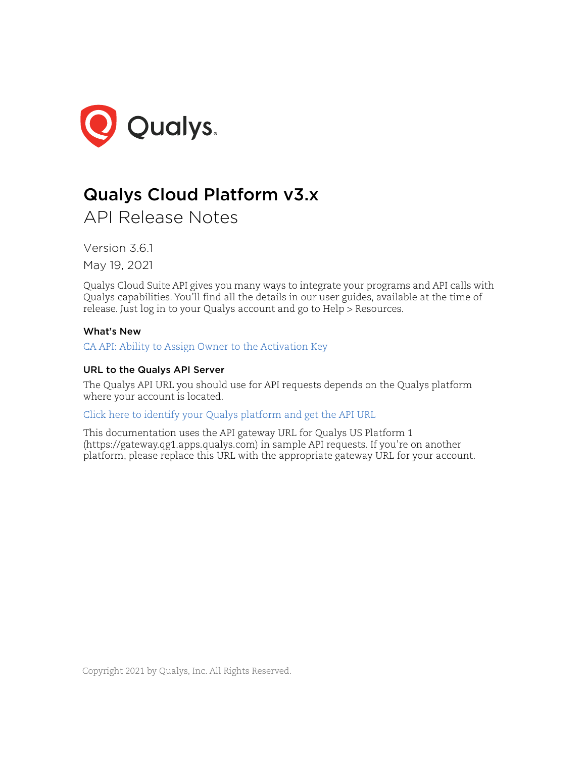

# Qualys Cloud Platform v3.x

API Release Notes

Version 3.6.1 May 19, 2021

Qualys Cloud Suite API gives you many ways to integrate your programs and API calls with Qualys capabilities. You'll find all the details in our user guides, available at the time of release. Just log in to your Qualys account and go to Help > Resources.

# What's New

[CA API: Ability to Assign Owner to the Activation Key](#page-1-0)

# URL to the Qualys API Server

The Qualys API URL you should use for API requests depends on the Qualys platform where your account is located.

# [Click here to identify your Qualys platform and get the API URL](https://www.qualys.com/platform-identification/)

This documentation uses the API gateway URL for Qualys US Platform 1 (https://gateway.qg1.apps.qualys.com) in sample API requests. If you're on another platform, please replace this URL with the appropriate gateway URL for your account.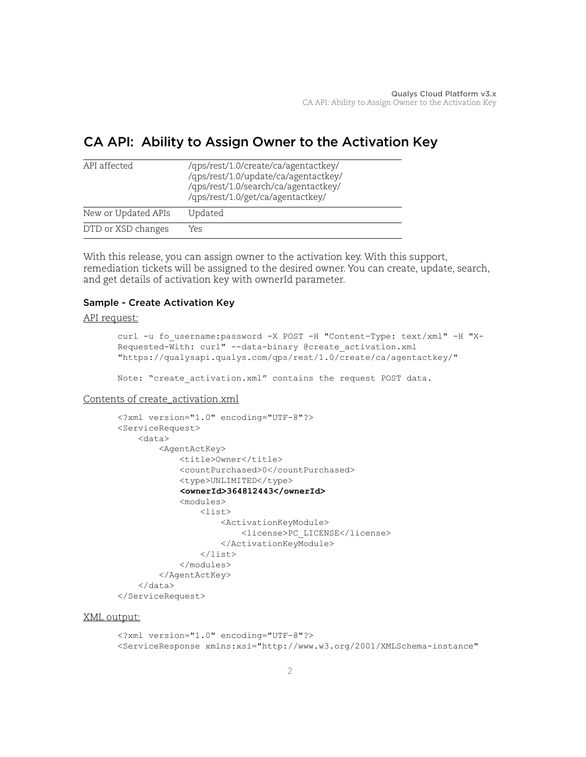# <span id="page-1-0"></span>CA API: Ability to Assign Owner to the Activation Key

| API affected        | /qps/rest/1.0/create/ca/agentactkey/<br>/qps/rest/1.0/update/ca/agentactkey/<br>/qps/rest/1.0/search/ca/agentactkey/<br>/qps/rest/1.0/get/ca/agentactkey/ |
|---------------------|-----------------------------------------------------------------------------------------------------------------------------------------------------------|
| New or Updated APIs | Updated                                                                                                                                                   |
| DTD or XSD changes  | Yes                                                                                                                                                       |

With this release, you can assign owner to the activation key. With this support, remediation tickets will be assigned to the desired owner. You can create, update, search, and get details of activation key with ownerId parameter.

# Sample - Create Activation Key

#### API request:

```
curl -u fo username:password -X POST -H "Content-Type: text/xml" -H "X-
Requested-With: curl" --data-binary @create_activation.xml 
"https://qualysapi.qualys.com/qps/rest/1.0/create/ca/agentactkey/"
```
Note: "create activation.xml" contains the request POST data.

#### Contents of create\_activation.xml

```
<?xml version="1.0" encoding="UTF-8"?>
<ServiceRequest>
     <data>
         <AgentActKey>
              <title>Owner</title>
              <countPurchased>0</countPurchased>
              <type>UNLIMITED</type>
              <ownerId>364812443</ownerId>
              <modules>
                  <list>
                      <ActivationKeyModule>
                           <license>PC_LICENSE</license>
                      </ActivationKeyModule>
                 \langlelist>
              </modules>
         </AgentActKey>
     </data>
</ServiceRequest>
```
#### XML output:

<?xml version="1.0" encoding="UTF-8"?> <ServiceResponse xmlns:xsi="http://www.w3.org/2001/XMLSchema-instance"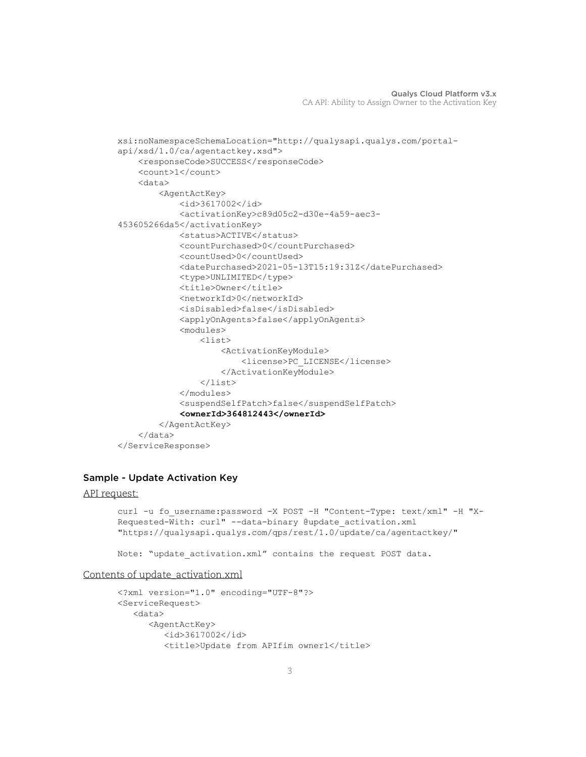```
xsi:noNamespaceSchemaLocation="http://qualysapi.qualys.com/portal-
api/xsd/1.0/ca/agentactkey.xsd">
     <responseCode>SUCCESS</responseCode>
     <count>1</count>
     <data>
         <AgentActKey>
             <id>3617002</id>
             <activationKey>c89d05c2-d30e-4a59-aec3-
453605266da5</activationKey>
             <status>ACTIVE</status>
             <countPurchased>0</countPurchased>
             <countUsed>0</countUsed>
             <datePurchased>2021-05-13T15:19:31Z</datePurchased>
             <type>UNLIMITED</type>
             <title>Owner</title>
             <networkId>0</networkId>
             <isDisabled>false</isDisabled>
             <applyOnAgents>false</applyOnAgents>
             <modules>
                 <list>
                      <ActivationKeyModule>
                          <license>PC_LICENSE</license>
                      </ActivationKeyModule>
                 \langle/list>
             </modules>
             <suspendSelfPatch>false</suspendSelfPatch>
             <ownerId>364812443</ownerId>
         </AgentActKey>
     </data>
</ServiceResponse>
```
#### Sample - Update Activation Key

#### API request:

```
curl -u fo username:password -X POST -H "Content-Type: text/xml" -H "X-
Requested-With: curl" --data-binary @update_activation.xml 
"https://qualysapi.qualys.com/qps/rest/1.0/update/ca/agentactkey/"
```
Note: "update activation.xml" contains the request POST data.

#### Contents of update\_activation.xml

```
<?xml version="1.0" encoding="UTF-8"?>
<ServiceRequest>
    <data>
       <AgentActKey>
          <id>3617002</id>
          <title>Update from APIfim owner1</title>
```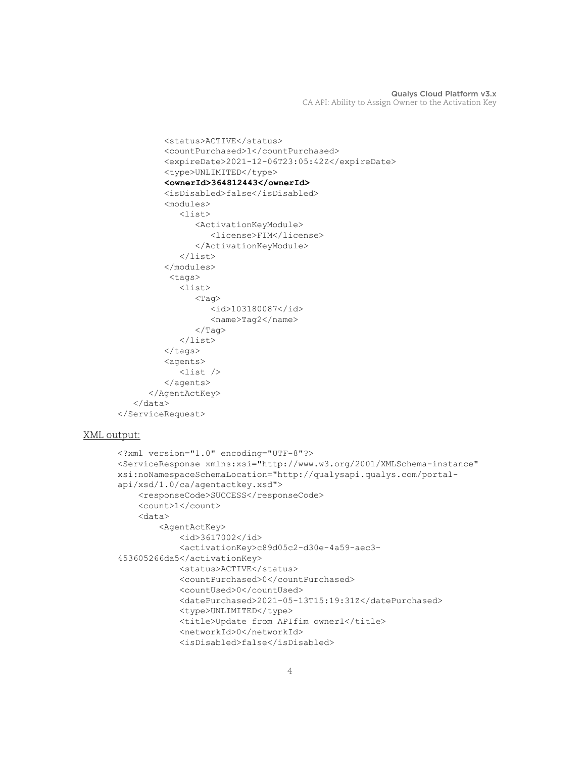```
 <status>ACTIVE</status>
           <countPurchased>1</countPurchased>
           <expireDate>2021-12-06T23:05:42Z</expireDate>
           <type>UNLIMITED</type>
           <ownerId>364812443</ownerId>
           <isDisabled>false</isDisabled>
           <modules>
               <list>
                  <ActivationKeyModule>
                      <license>FIM</license>
                  </ActivationKeyModule>
              \langle/list>
           </modules>
            <tags>
              \langlelist\rangle<Tag> <id>103180087</id>
                      <name>Tag2</name>
                 \langleTag>
               </list>
          \langle \text{tags} \rangle <agents>
               <list />
           </agents>
        </AgentActKey>
    </data>
</ServiceRequest>
```
## XML output:

```
<?xml version="1.0" encoding="UTF-8"?>
<ServiceResponse xmlns:xsi="http://www.w3.org/2001/XMLSchema-instance" 
xsi:noNamespaceSchemaLocation="http://qualysapi.qualys.com/portal-
api/xsd/1.0/ca/agentactkey.xsd">
     <responseCode>SUCCESS</responseCode>
     <count>1</count>
     <data>
         <AgentActKey>
             <id>3617002</id>
             <activationKey>c89d05c2-d30e-4a59-aec3-
453605266da5</activationKey>
             <status>ACTIVE</status>
             <countPurchased>0</countPurchased>
             <countUsed>0</countUsed>
             <datePurchased>2021-05-13T15:19:31Z</datePurchased>
             <type>UNLIMITED</type>
             <title>Update from APIfim owner1</title>
             <networkId>0</networkId>
             <isDisabled>false</isDisabled>
```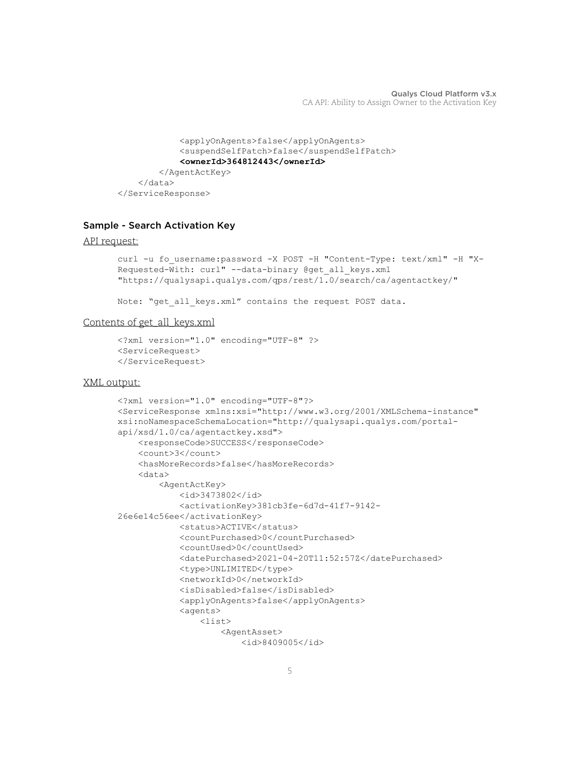```
 <applyOnAgents>false</applyOnAgents>
             <suspendSelfPatch>false</suspendSelfPatch>
             <ownerId>364812443</ownerId>
         </AgentActKey>
     </data>
</ServiceResponse>
```
# Sample - Search Activation Key

#### API request:

```
curl -u fo username:password -X POST -H "Content-Type: text/xml" -H "X-
Requested-With: curl" --data-binary @get_all_keys.xml 
"https://qualysapi.qualys.com/qps/rest/1.0/search/ca/agentactkey/"
```
Note: "get all keys.xml" contains the request POST data.

#### Contents of get\_all\_keys.xml

```
<?xml version="1.0" encoding="UTF-8" ?>
<ServiceRequest>
</ServiceRequest>
```
#### XML output:

```
<?xml version="1.0" encoding="UTF-8"?>
<ServiceResponse xmlns:xsi="http://www.w3.org/2001/XMLSchema-instance" 
xsi:noNamespaceSchemaLocation="http://qualysapi.qualys.com/portal-
api/xsd/1.0/ca/agentactkey.xsd">
    <responseCode>SUCCESS</responseCode>
     <count>3</count>
     <hasMoreRecords>false</hasMoreRecords>
     <data>
         <AgentActKey>
             <id>3473802</id>
             <activationKey>381cb3fe-6d7d-41f7-9142-
26e6e14c56ee</activationKey>
             <status>ACTIVE</status>
             <countPurchased>0</countPurchased>
             <countUsed>0</countUsed>
             <datePurchased>2021-04-20T11:52:57Z</datePurchased>
             <type>UNLIMITED</type>
             <networkId>0</networkId>
             <isDisabled>false</isDisabled>
             <applyOnAgents>false</applyOnAgents>
             <agents>
                 <list>
                     <AgentAsset>
                          <id>8409005</id>
```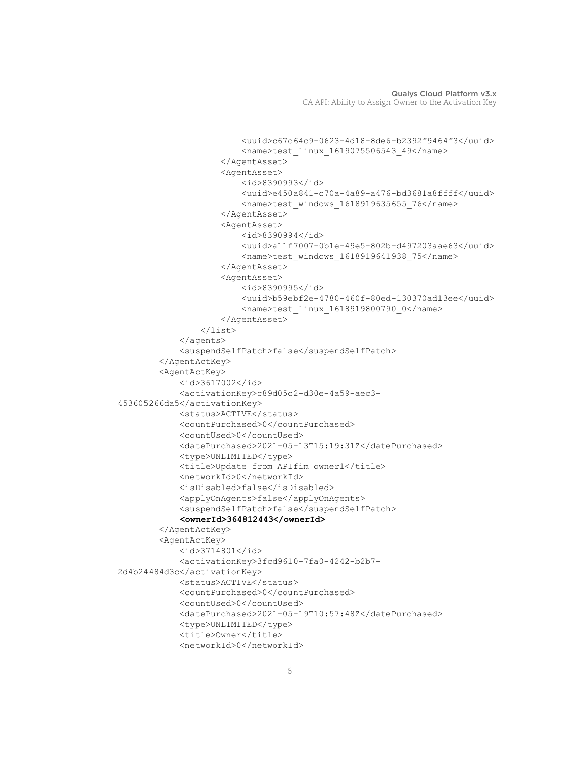```
 <uuid>c67c64c9-0623-4d18-8de6-b2392f9464f3</uuid>
                          <name>test_linux_1619075506543_49</name>
                      </AgentAsset>
                      <AgentAsset>
                          <id>8390993</id>
                          <uuid>e450a841-c70a-4a89-a476-bd3681a8ffff</uuid>
                         <name>test windows 1618919635655 76</name>
                      </AgentAsset>
                      <AgentAsset>
                          <id>8390994</id>
                          <uuid>a11f7007-0b1e-49e5-802b-d497203aae63</uuid>
                          <name>test_windows_1618919641938_75</name>
                      </AgentAsset>
                      <AgentAsset>
                          <id>8390995</id>
                          <uuid>b59ebf2e-4780-460f-80ed-130370ad13ee</uuid>
                          <name>test_linux_1618919800790_0</name>
                      </AgentAsset>
                \langlelist>
             </agents>
             <suspendSelfPatch>false</suspendSelfPatch>
         </AgentActKey>
         <AgentActKey>
             <id>3617002</id>
             <activationKey>c89d05c2-d30e-4a59-aec3-
453605266da5</activationKey>
             <status>ACTIVE</status>
             <countPurchased>0</countPurchased>
             <countUsed>0</countUsed>
             <datePurchased>2021-05-13T15:19:31Z</datePurchased>
             <type>UNLIMITED</type>
             <title>Update from APIfim owner1</title>
             <networkId>0</networkId>
             <isDisabled>false</isDisabled>
             <applyOnAgents>false</applyOnAgents>
             <suspendSelfPatch>false</suspendSelfPatch>
             <ownerId>364812443</ownerId>
         </AgentActKey>
         <AgentActKey>
             <id>3714801</id>
             <activationKey>3fcd9610-7fa0-4242-b2b7-
2d4b24484d3c</activationKey>
             <status>ACTIVE</status>
             <countPurchased>0</countPurchased>
             <countUsed>0</countUsed>
             <datePurchased>2021-05-19T10:57:48Z</datePurchased>
             <type>UNLIMITED</type>
             <title>Owner</title>
             <networkId>0</networkId>
```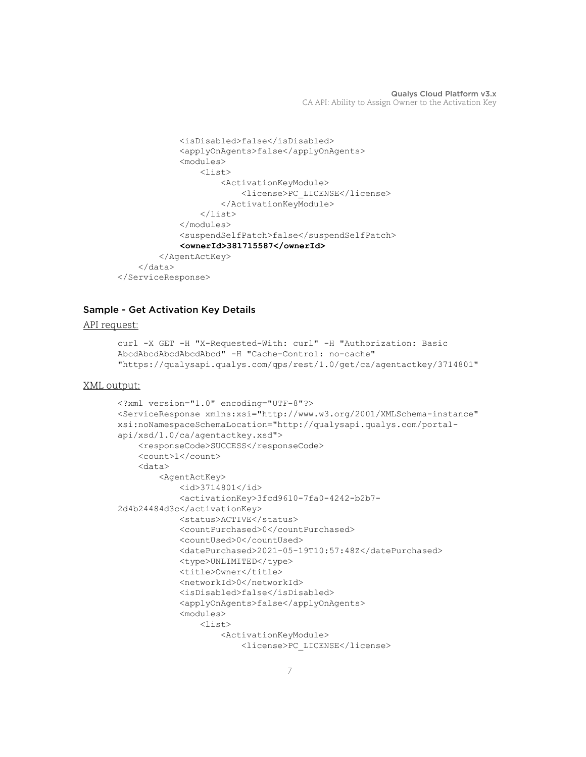```
 <isDisabled>false</isDisabled>
              <applyOnAgents>false</applyOnAgents>
              <modules>
                  <list>
                      <ActivationKeyModule>
                           <license>PC_LICENSE</license>
                      </ActivationKeyModule>
                 \langlelist>
              </modules>
              <suspendSelfPatch>false</suspendSelfPatch>
              <ownerId>381715587</ownerId>
         </AgentActKey>
     </data>
</ServiceResponse>
```
# Sample - Get Activation Key Details

#### API request:

```
curl -X GET -H "X-Requested-With: curl" -H "Authorization: Basic 
AbcdAbcdAbcdAbcdAbcd" -H "Cache-Control: no-cache" 
"https://qualysapi.qualys.com/qps/rest/1.0/get/ca/agentactkey/3714801"
```
#### XML output:

```
<?xml version="1.0" encoding="UTF-8"?>
<ServiceResponse xmlns:xsi="http://www.w3.org/2001/XMLSchema-instance" 
xsi:noNamespaceSchemaLocation="http://qualysapi.qualys.com/portal-
api/xsd/1.0/ca/agentactkey.xsd">
     <responseCode>SUCCESS</responseCode>
     <count>1</count>
     <data>
         <AgentActKey>
             <id>3714801</id>
             <activationKey>3fcd9610-7fa0-4242-b2b7-
2d4b24484d3c</activationKey>
             <status>ACTIVE</status>
             <countPurchased>0</countPurchased>
             <countUsed>0</countUsed>
             <datePurchased>2021-05-19T10:57:48Z</datePurchased>
             <type>UNLIMITED</type>
            <title>Owner</title>
             <networkId>0</networkId>
             <isDisabled>false</isDisabled>
             <applyOnAgents>false</applyOnAgents>
             <modules>
                 <list>
                     <ActivationKeyModule>
                          <license>PC_LICENSE</license>
```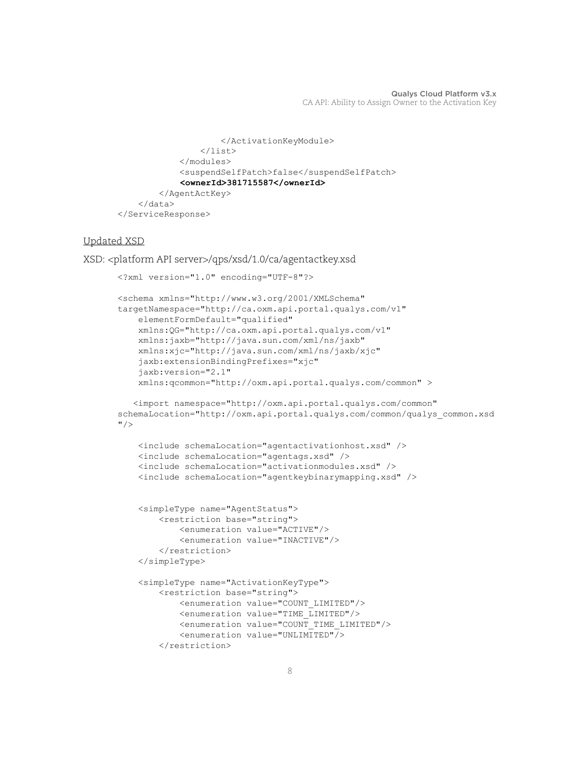```
 </ActivationKeyModule>
                 \langlelist>
              </modules>
              <suspendSelfPatch>false</suspendSelfPatch>
              <ownerId>381715587</ownerId>
         </AgentActKey>
     </data>
</ServiceResponse>
```
## Updated XSD

```
XSD: <platform API server>/qps/xsd/1.0/ca/agentactkey.xsd
```

```
<?xml version="1.0" encoding="UTF-8"?>
<schema xmlns="http://www.w3.org/2001/XMLSchema" 
targetNamespace="http://ca.oxm.api.portal.qualys.com/v1"
     elementFormDefault="qualified"
     xmlns:QG="http://ca.oxm.api.portal.qualys.com/v1"
     xmlns:jaxb="http://java.sun.com/xml/ns/jaxb"
     xmlns:xjc="http://java.sun.com/xml/ns/jaxb/xjc"
     jaxb:extensionBindingPrefixes="xjc"
     jaxb:version="2.1"
     xmlns:qcommon="http://oxm.api.portal.qualys.com/common" > 
    <import namespace="http://oxm.api.portal.qualys.com/common" 
schemaLocation="http://oxm.api.portal.qualys.com/common/qualys_common.xsd
" />
     <include schemaLocation="agentactivationhost.xsd" />
     <include schemaLocation="agentags.xsd" />
     <include schemaLocation="activationmodules.xsd" />
     <include schemaLocation="agentkeybinarymapping.xsd" />
     <simpleType name="AgentStatus">
         <restriction base="string">
             <enumeration value="ACTIVE"/>
             <enumeration value="INACTIVE"/>
         </restriction>
     </simpleType>
     <simpleType name="ActivationKeyType">
         <restriction base="string">
             <enumeration value="COUNT_LIMITED"/>
             <enumeration value="TIME_LIMITED"/>
             <enumeration value="COUNT_TIME_LIMITED"/>
             <enumeration value="UNLIMITED"/>
         </restriction>
```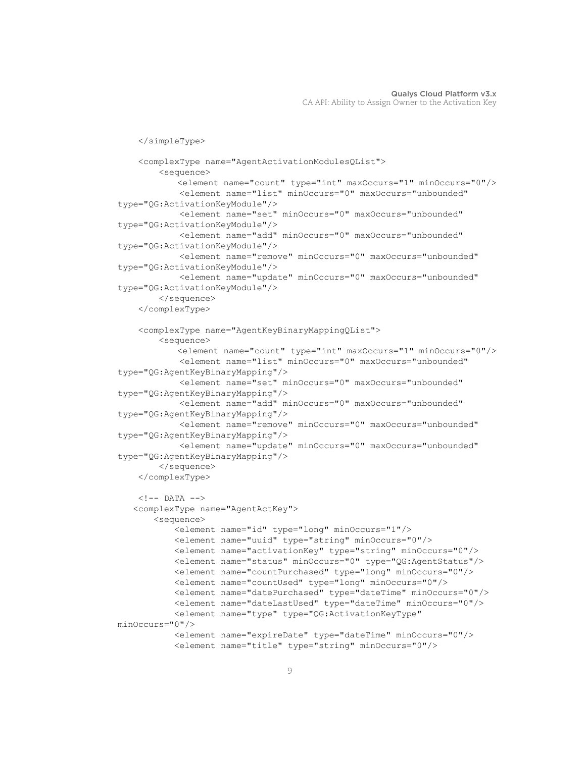```
 </simpleType>
     <complexType name="AgentActivationModulesQList">
         <sequence>
            <element name="count" type="int" maxOccurs="1" minOccurs="0"/>
             <element name="list" minOccurs="0" maxOccurs="unbounded" 
type="QG:ActivationKeyModule"/>
             <element name="set" minOccurs="0" maxOccurs="unbounded" 
type="QG:ActivationKeyModule"/>
             <element name="add" minOccurs="0" maxOccurs="unbounded" 
type="QG:ActivationKeyModule"/>
             <element name="remove" minOccurs="0" maxOccurs="unbounded" 
type="QG:ActivationKeyModule"/>
             <element name="update" minOccurs="0" maxOccurs="unbounded" 
type="QG:ActivationKeyModule"/>
         </sequence>
     </complexType>
     <complexType name="AgentKeyBinaryMappingQList">
         <sequence>
            <element name="count" type="int" maxOccurs="1" minOccurs="0"/>
             <element name="list" minOccurs="0" maxOccurs="unbounded" 
type="QG:AgentKeyBinaryMapping"/>
             <element name="set" minOccurs="0" maxOccurs="unbounded" 
type="QG:AgentKeyBinaryMapping"/>
             <element name="add" minOccurs="0" maxOccurs="unbounded" 
type="QG:AgentKeyBinaryMapping"/>
             <element name="remove" minOccurs="0" maxOccurs="unbounded" 
type="QG:AgentKeyBinaryMapping"/>
             <element name="update" minOccurs="0" maxOccurs="unbounded" 
type="QG:AgentKeyBinaryMapping"/>
         </sequence>
     </complexType>
    \langle!-- DATA -->
    <complexType name="AgentActKey">
        <sequence>
            <element name="id" type="long" minOccurs="1"/>
            <element name="uuid" type="string" minOccurs="0"/>
            <element name="activationKey" type="string" minOccurs="0"/>
            <element name="status" minOccurs="0" type="QG:AgentStatus"/>
            <element name="countPurchased" type="long" minOccurs="0"/>
            <element name="countUsed" type="long" minOccurs="0"/>
            <element name="datePurchased" type="dateTime" minOccurs="0"/>
            <element name="dateLastUsed" type="dateTime" minOccurs="0"/>
            <element name="type" type="QG:ActivationKeyType" 
minOccurs="0"/>
            <element name="expireDate" type="dateTime" minOccurs="0"/>
            <element name="title" type="string" minOccurs="0"/>
```